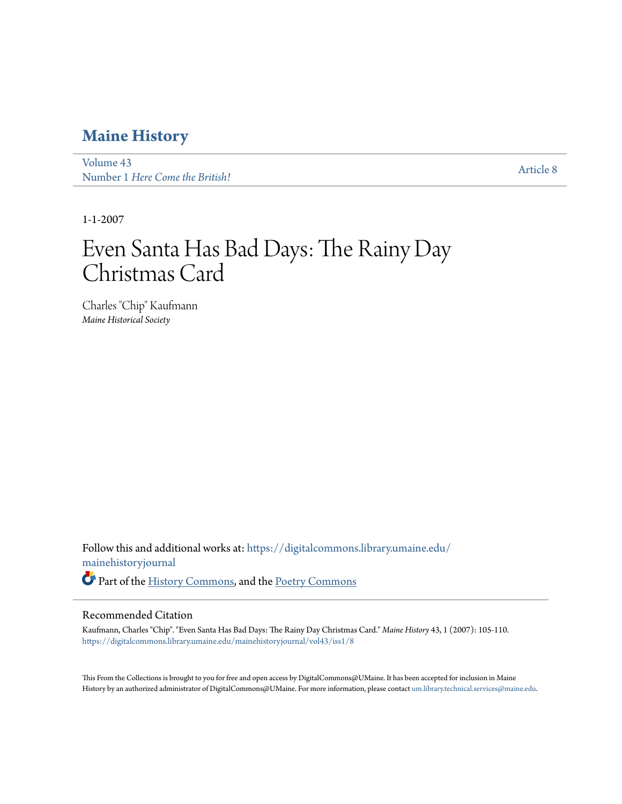### **[Maine History](https://digitalcommons.library.umaine.edu/mainehistoryjournal?utm_source=digitalcommons.library.umaine.edu%2Fmainehistoryjournal%2Fvol43%2Fiss1%2F8&utm_medium=PDF&utm_campaign=PDFCoverPages)**

[Volume 43](https://digitalcommons.library.umaine.edu/mainehistoryjournal/vol43?utm_source=digitalcommons.library.umaine.edu%2Fmainehistoryjournal%2Fvol43%2Fiss1%2F8&utm_medium=PDF&utm_campaign=PDFCoverPages) volume 45<br>Number 1 *[Here Come the British!](https://digitalcommons.library.umaine.edu/mainehistoryjournal/vol43/iss1?utm_source=digitalcommons.library.umaine.edu%2Fmainehistoryjournal%2Fvol43%2Fiss1%2F8&utm_medium=PDF&utm_campaign=PDFCoverPages)* [Article 8](https://digitalcommons.library.umaine.edu/mainehistoryjournal/vol43/iss1/8?utm_source=digitalcommons.library.umaine.edu%2Fmainehistoryjournal%2Fvol43%2Fiss1%2F8&utm_medium=PDF&utm_campaign=PDFCoverPages)

1-1-2007

# Even Santa Has Bad Days: The Rainy Day Christmas Card

Charles "Chip" Kaufmann *Maine Historical Society*

Follow this and additional works at: [https://digitalcommons.library.umaine.edu/](https://digitalcommons.library.umaine.edu/mainehistoryjournal?utm_source=digitalcommons.library.umaine.edu%2Fmainehistoryjournal%2Fvol43%2Fiss1%2F8&utm_medium=PDF&utm_campaign=PDFCoverPages) [mainehistoryjournal](https://digitalcommons.library.umaine.edu/mainehistoryjournal?utm_source=digitalcommons.library.umaine.edu%2Fmainehistoryjournal%2Fvol43%2Fiss1%2F8&utm_medium=PDF&utm_campaign=PDFCoverPages) Part of the [History Commons](http://network.bepress.com/hgg/discipline/489?utm_source=digitalcommons.library.umaine.edu%2Fmainehistoryjournal%2Fvol43%2Fiss1%2F8&utm_medium=PDF&utm_campaign=PDFCoverPages), and the [Poetry Commons](http://network.bepress.com/hgg/discipline/1153?utm_source=digitalcommons.library.umaine.edu%2Fmainehistoryjournal%2Fvol43%2Fiss1%2F8&utm_medium=PDF&utm_campaign=PDFCoverPages)

#### Recommended Citation

Kaufmann, Charles "Chip". "Even Santa Has Bad Days: The Rainy Day Christmas Card." *Maine History* 43, 1 (2007): 105-110. [https://digitalcommons.library.umaine.edu/mainehistoryjournal/vol43/iss1/8](https://digitalcommons.library.umaine.edu/mainehistoryjournal/vol43/iss1/8?utm_source=digitalcommons.library.umaine.edu%2Fmainehistoryjournal%2Fvol43%2Fiss1%2F8&utm_medium=PDF&utm_campaign=PDFCoverPages)

This From the Collections is brought to you for free and open access by DigitalCommons@UMaine. It has been accepted for inclusion in Maine History by an authorized administrator of DigitalCommons@UMaine. For more information, please contact [um.library.technical.services@maine.edu.](mailto:um.library.technical.services@maine.edu)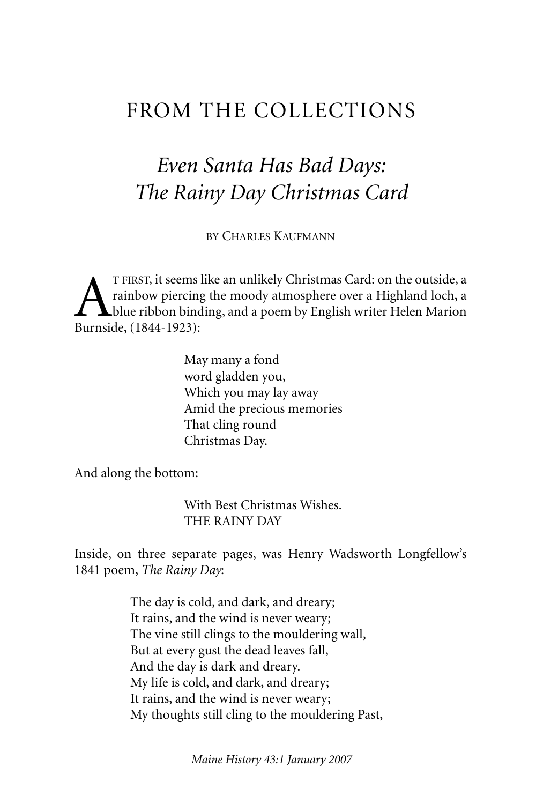### FROM THE COLLECTIONS

## *Even Santa Has Bad Days: The Rainy Day Christmas Card*

BY CHARLES KAUFMANN

T FIRST, it seems like an unlikely Christmas Card: on the outside, a<br>rainbow piercing the moody atmosphere over a Highland loch, a<br>Burnside (1844-1923). rainbow piercing the moody atmosphere over a Highland loch, a blue ribbon binding, and a poem by English writer Helen Marion Burnside, (1844-1923):

> May many a fond word gladden you, Which you may lay away Amid the precious memories That cling round Christmas Day.

And along the bottom:

With Best Christmas Wishes. THE RAINY DAY

Inside, on three separate pages, was Henry Wadsworth Longfellow's 1841 poem, *The Rainy Day*:

> The day is cold, and dark, and dreary; It rains, and the wind is never weary; The vine still clings to the mouldering wall, But at every gust the dead leaves fall, And the day is dark and dreary. My life is cold, and dark, and dreary; It rains, and the wind is never weary; My thoughts still cling to the mouldering Past,

> > *Maine History 43:1 January 2007*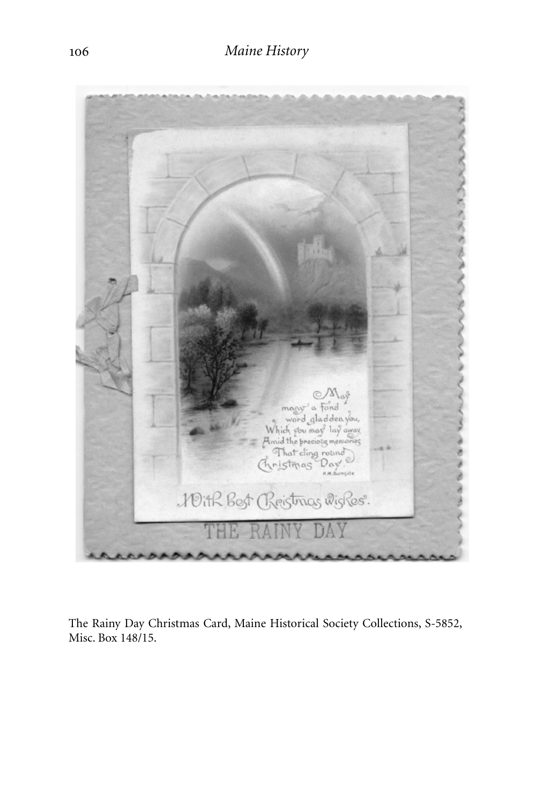

The Rainy Day Christmas Card, Maine Historical Society Collections, S-5852, Misc. Box 148/15.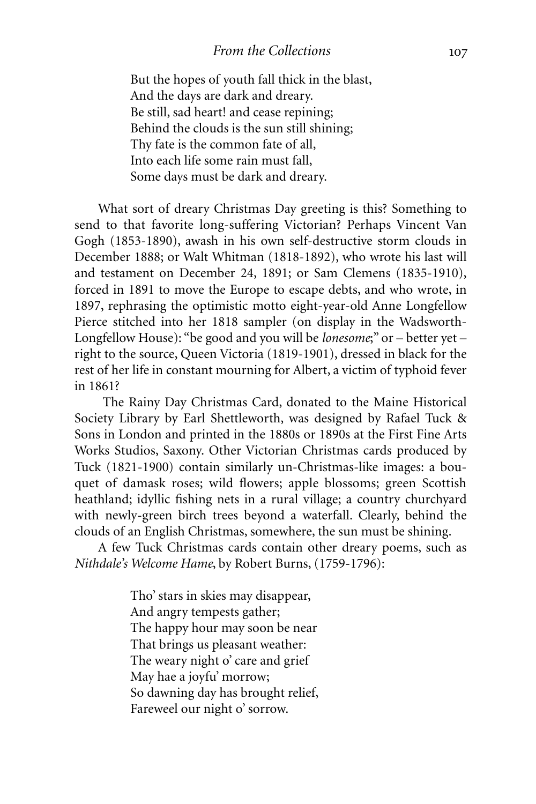But the hopes of youth fall thick in the blast, And the days are dark and dreary. Be still, sad heart! and cease repining; Behind the clouds is the sun still shining; Thy fate is the common fate of all, Into each life some rain must fall, Some days must be dark and dreary.

What sort of dreary Christmas Day greeting is this? Something to send to that favorite long-suffering Victorian? Perhaps Vincent Van Gogh (1853-1890), awash in his own self-destructive storm clouds in December 1888; or Walt Whitman (1818-1892), who wrote his last will and testament on December 24, 1891; or Sam Clemens (1835-1910), forced in 1891 to move the Europe to escape debts, and who wrote, in 1897, rephrasing the optimistic motto eight-year-old Anne Longfellow Pierce stitched into her 1818 sampler (on display in the Wadsworth-Longfellow House): "be good and you will be *lonesome*;" or – better yet – right to the source, Queen Victoria (1819-1901), dressed in black for the rest of her life in constant mourning for Albert, a victim of typhoid fever in 1861?

The Rainy Day Christmas Card, donated to the Maine Historical Society Library by Earl Shettleworth, was designed by Rafael Tuck & Sons in London and printed in the 1880s or 1890s at the First Fine Arts Works Studios, Saxony. Other Victorian Christmas cards produced by Tuck (1821-1900) contain similarly un-Christmas-like images: a bouquet of damask roses; wild flowers; apple blossoms; green Scottish heathland; idyllic fishing nets in a rural village; a country churchyard with newly-green birch trees beyond a waterfall. Clearly, behind the clouds of an English Christmas, somewhere, the sun must be shining.

A few Tuck Christmas cards contain other dreary poems, such as *Nithdale's Welcome Hame*, by Robert Burns, (1759-1796):

> Tho' stars in skies may disappear, And angry tempests gather; The happy hour may soon be near That brings us pleasant weather: The weary night o' care and grief May hae a joyfu' morrow; So dawning day has brought relief, Fareweel our night o' sorrow.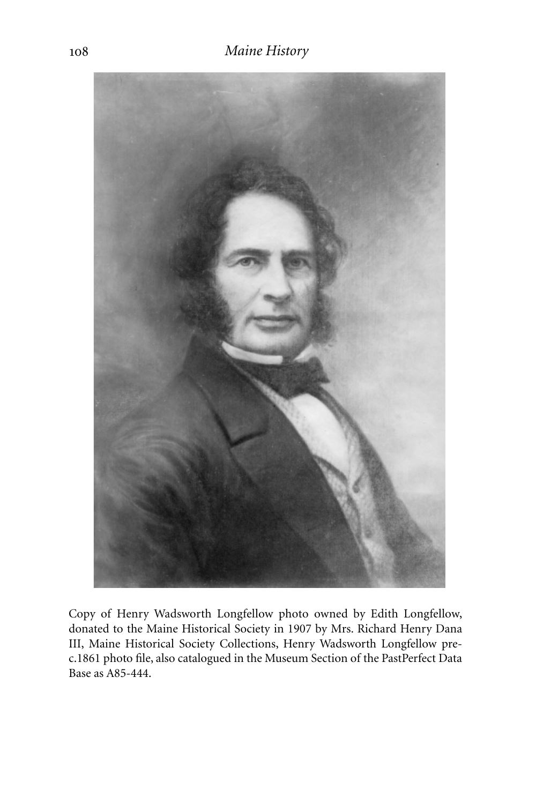

Copy of Henry Wadsworth Longfellow photo owned by Edith Longfellow, donated to the Maine Historical Society in 1907 by Mrs. Richard Henry Dana III, Maine Historical Society Collections, Henry Wadsworth Longfellow prec.1861 photo file, also catalogued in the Museum Section of the PastPerfect Data Base as A85-444.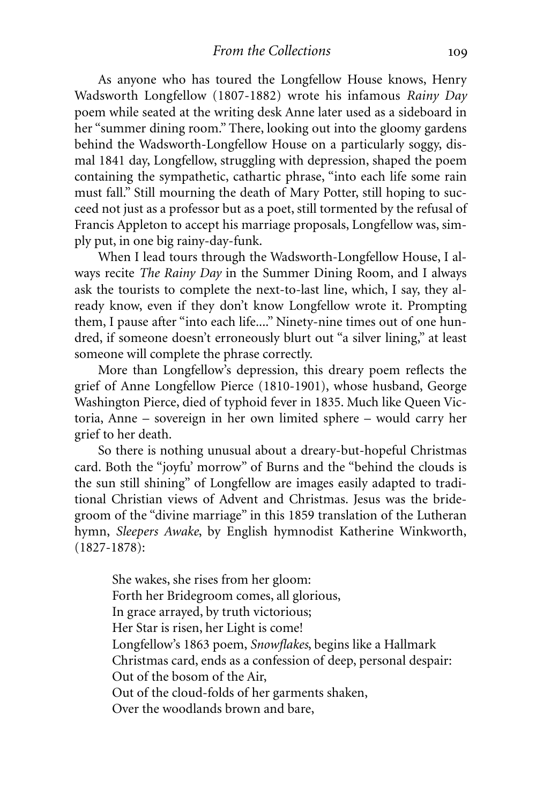As anyone who has toured the Longfellow House knows, Henry Wadsworth Longfellow (1807-1882) wrote his infamous *Rainy Day* poem while seated at the writing desk Anne later used as a sideboard in her "summer dining room." There, looking out into the gloomy gardens behind the Wadsworth-Longfellow House on a particularly soggy, dismal 1841 day, Longfellow, struggling with depression, shaped the poem containing the sympathetic, cathartic phrase, "into each life some rain must fall." Still mourning the death of Mary Potter, still hoping to succeed not just as a professor but as a poet, still tormented by the refusal of Francis Appleton to accept his marriage proposals, Longfellow was, simply put, in one big rainy-day-funk.

When I lead tours through the Wadsworth-Longfellow House, I always recite *The Rainy Day* in the Summer Dining Room, and I always ask the tourists to complete the next-to-last line, which, I say, they already know, even if they don't know Longfellow wrote it. Prompting them, I pause after "into each life...." Ninety-nine times out of one hundred, if someone doesn't erroneously blurt out "a silver lining," at least someone will complete the phrase correctly.

More than Longfellow's depression, this dreary poem reflects the grief of Anne Longfellow Pierce (1810-1901), whose husband, George Washington Pierce, died of typhoid fever in 1835. Much like Queen Victoria, Anne – sovereign in her own limited sphere – would carry her grief to her death.

So there is nothing unusual about a dreary-but-hopeful Christmas card. Both the "joyfu' morrow" of Burns and the "behind the clouds is the sun still shining" of Longfellow are images easily adapted to traditional Christian views of Advent and Christmas. Jesus was the bridegroom of the "divine marriage" in this 1859 translation of the Lutheran hymn, *Sleepers Awake*, by English hymnodist Katherine Winkworth, (1827-1878):

She wakes, she rises from her gloom: Forth her Bridegroom comes, all glorious, In grace arrayed, by truth victorious; Her Star is risen, her Light is come! Longfellow's 1863 poem, *Snowflakes*, begins like a Hallmark Christmas card, ends as a confession of deep, personal despair: Out of the bosom of the Air, Out of the cloud-folds of her garments shaken, Over the woodlands brown and bare,